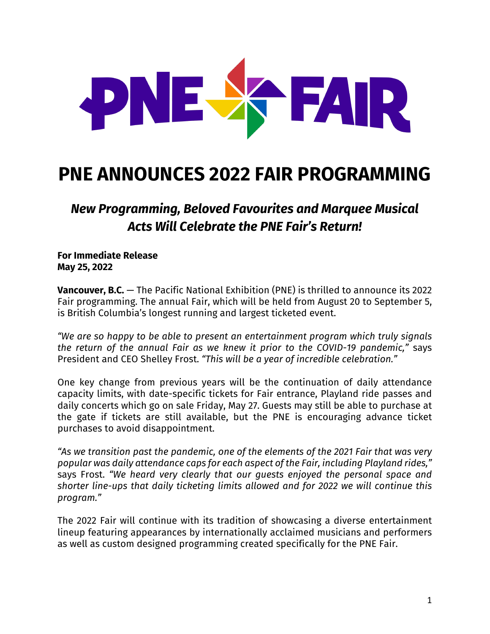

# **PNE ANNOUNCES 2022 FAIR PROGRAMMING**

*New Programming, Beloved Favourites and Marquee Musical Acts Will Celebrate the PNE Fair's Return!*

**For Immediate Release May 25, 2022**

**Vancouver, B.C.** — The Pacific National Exhibition (PNE) is thrilled to announce its 2022 Fair programming. The annual Fair, which will be held from August 20 to September 5, is British Columbia's longest running and largest ticketed event.

*"We are so happy to be able to present an entertainment program which truly signals the return of the annual Fair as we knew it prior to the COVID-19 pandemic,"* says President and CEO Shelley Frost. *"This will be a year of incredible celebration."*

One key change from previous years will be the continuation of daily attendance capacity limits, with date-specific tickets for Fair entrance, Playland ride passes and daily concerts which go on sale Friday, May 27. Guests may still be able to purchase at the gate if tickets are still available, but the PNE is encouraging advance ticket purchases to avoid disappointment.

*"As we transition past the pandemic, one of the elements of the 2021 Fair that was very popular was daily attendance caps for each aspect of the Fair, including Playland rides,"* says Frost. *"We heard very clearly that our guests enjoyed the personal space and shorter line-ups that daily ticketing limits allowed and for 2022 we will continue this program."*

The 2022 Fair will continue with its tradition of showcasing a diverse entertainment lineup featuring appearances by internationally acclaimed musicians and performers as well as custom designed programming created specifically for the PNE Fair.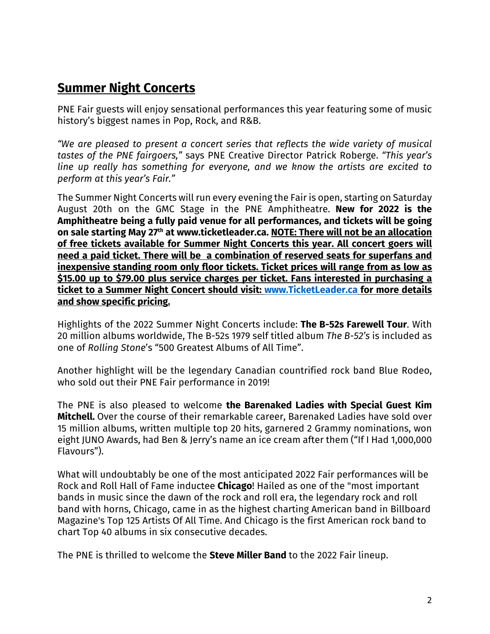## **Summer Night Concerts**

PNE Fair guests will enjoy sensational performances this year featuring some of music history's biggest names in Pop, Rock, and R&B.

*"We are pleased to present a concert series that reflects the wide variety of musical tastes of the PNE fairgoers,"* says PNE Creative Director Patrick Roberge. *"This year's line up really has something for everyone, and we know the artists are excited to perform at this year's Fair."*

The Summer Night Concerts will run every evening the Fair is open, starting on Saturday August 20th on the GMC Stage in the PNE Amphitheatre. **New for 2022 is the Amphitheatre being a fully paid venue for all performances, and tickets will be going on sale starting May 27th at www.ticketleader.ca. NOTE: There will not be an allocation of free tickets available for Summer Night Concerts this year. All concert goers will need a paid ticket. There will be a combination of reserved seats for superfans and inexpensive standing room only floor tickets. Ticket prices will range from as low as \$15.00 up to \$79.00 plus service charges per ticket. Fans interested in purchasing a ticket to a Summer Night Concert should visit: www.TicketLeader.ca for more details and show specific pricing.**

Highlights of the 2022 Summer Night Concerts include: **The B-52s Farewell Tour**. With 20 million albums worldwide, The B-52s 1979 self titled album *The B-52's* is included as one of *Rolling Stone*'s "500 Greatest Albums of All Time".

Another highlight will be the legendary Canadian countrified rock band Blue Rodeo, who sold out their PNE Fair performance in 2019!

The PNE is also pleased to welcome **the Barenaked Ladies with Special Guest Kim Mitchell.** Over the course of their remarkable career, Barenaked Ladies have sold over 15 million albums, written multiple top 20 hits, garnered 2 Grammy nominations, won eight JUNO Awards, had Ben & Jerry's name an ice cream after them ("If I Had 1,000,000 Flavours").

What will undoubtably be one of the most anticipated 2022 Fair performances will be Rock and Roll Hall of Fame inductee **Chicago**! Hailed as one of the "most important bands in music since the dawn of the rock and roll era, the legendary rock and roll band with horns, Chicago, came in as the highest charting American band in Billboard Magazine's Top 125 Artists Of All Time. And Chicago is the first American rock band to chart Top 40 albums in six consecutive decades.

The PNE is thrilled to welcome the **Steve Miller Band** to the 2022 Fair lineup.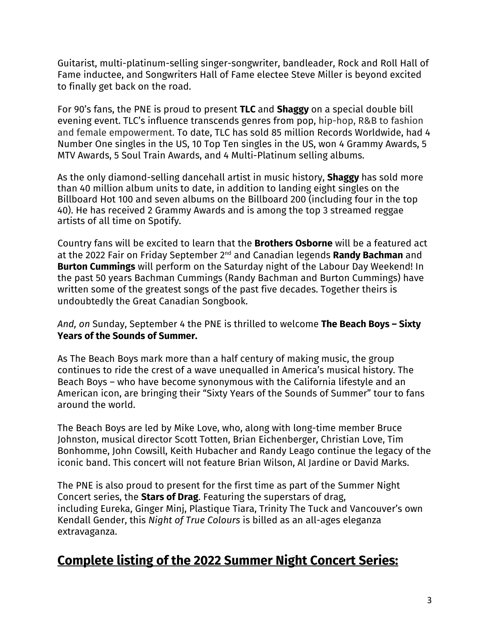Guitarist, multi-platinum-selling singer-songwriter, bandleader, Rock and Roll Hall of Fame inductee, and Songwriters Hall of Fame electee Steve Miller is beyond excited to finally get back on the road.

For 90's fans, the PNE is proud to present **TLC** and **Shaggy** on a special double bill evening event. TLC's influence transcends genres from pop, hip-hop, R&B to fashion and female empowerment. To date, TLC has sold 85 million Records Worldwide, had 4 Number One singles in the US, 10 Top Ten singles in the US, won 4 Grammy Awards, 5 MTV Awards, 5 Soul Train Awards, and 4 Multi-Platinum selling albums.

As the only diamond-selling dancehall artist in music history, **Shaggy** has sold more than 40 million album units to date, in addition to landing eight singles on the Billboard Hot 100 and seven albums on the Billboard 200 (including four in the top 40). He has received 2 Grammy Awards and is among the top 3 streamed reggae artists of all time on Spotify.

Country fans will be excited to learn that the **Brothers Osborne** will be a featured act at the 2022 Fair on Friday September 2nd and Canadian legends **Randy Bachman** and **Burton Cummings** will perform on the Saturday night of the Labour Day Weekend! In the past 50 years Bachman Cummings (Randy Bachman and Burton Cummings) have written some of the greatest songs of the past five decades. Together theirs is undoubtedly the Great Canadian Songbook.

*And, on* Sunday, September 4 the PNE is thrilled to welcome **The Beach Boys – Sixty Years of the Sounds of Summer.**

As The Beach Boys mark more than a half century of making music, the group continues to ride the crest of a wave unequalled in America's musical history. The Beach Boys – who have become synonymous with the California lifestyle and an American icon, are bringing their "Sixty Years of the Sounds of Summer" tour to fans around the world.

The Beach Boys are led by Mike Love, who, along with long-time member Bruce Johnston, musical director Scott Totten, Brian Eichenberger, Christian Love, Tim Bonhomme, John Cowsill, Keith Hubacher and Randy Leago continue the legacy of the iconic band. This concert will not feature Brian Wilson, Al Jardine or David Marks.

The PNE is also proud to present for the first time as part of the Summer Night Concert series, the **Stars of Drag**. Featuring the superstars of drag, including Eureka, Ginger Minj, Plastique Tiara, Trinity The Tuck and Vancouver's own Kendall Gender, this *Night of True Colours* is billed as an all-ages eleganza extravaganza.

## **Complete listing of the 2022 Summer Night Concert Series:**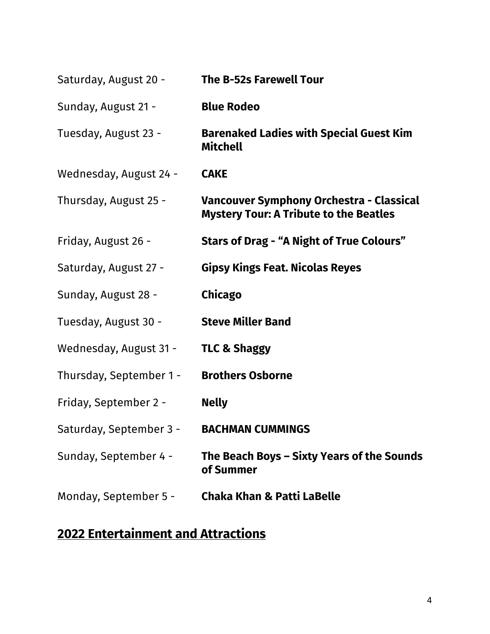| Saturday, August 20 -   | <b>The B-52s Farewell Tour</b>                                                            |
|-------------------------|-------------------------------------------------------------------------------------------|
| Sunday, August 21 -     | <b>Blue Rodeo</b>                                                                         |
| Tuesday, August 23 -    | <b>Barenaked Ladies with Special Guest Kim</b><br><b>Mitchell</b>                         |
| Wednesday, August 24 -  | <b>CAKE</b>                                                                               |
| Thursday, August 25 -   | Vancouver Symphony Orchestra - Classical<br><b>Mystery Tour: A Tribute to the Beatles</b> |
| Friday, August 26 -     | Stars of Drag - "A Night of True Colours"                                                 |
| Saturday, August 27 -   | <b>Gipsy Kings Feat. Nicolas Reyes</b>                                                    |
| Sunday, August 28 -     | Chicago                                                                                   |
| Tuesday, August 30 -    | <b>Steve Miller Band</b>                                                                  |
| Wednesday, August 31 -  | <b>TLC &amp; Shaggy</b>                                                                   |
| Thursday, September 1 - | <b>Brothers Osborne</b>                                                                   |
| Friday, September 2 -   | <b>Nelly</b>                                                                              |
| Saturday, September 3 - | <b>BACHMAN CUMMINGS</b>                                                                   |
| Sunday, September 4 -   | The Beach Boys - Sixty Years of the Sounds<br>of Summer                                   |
| Monday, September 5 -   | <b>Chaka Khan &amp; Patti LaBelle</b>                                                     |

# **2022 Entertainment and Attractions**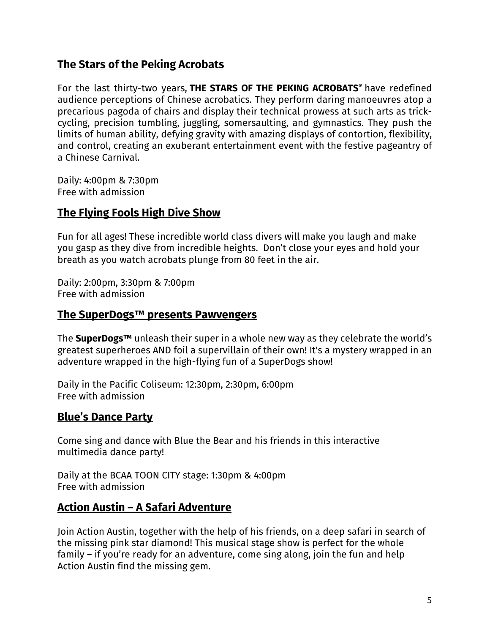## **The Stars of the Peking Acrobats**

For the last thirty-two years, **THE STARS OF THE PEKING ACROBATS®** have redefined audience perceptions of Chinese acrobatics. They perform daring manoeuvres atop a precarious pagoda of chairs and display their technical prowess at such arts as trickcycling, precision tumbling, juggling, somersaulting, and gymnastics. They push the limits of human ability, defying gravity with amazing displays of contortion, flexibility, and control, creating an exuberant entertainment event with the festive pageantry of a Chinese Carnival.

Daily: 4:00pm & 7:30pm Free with admission

## **The Flying Fools High Dive Show**

Fun for all ages! These incredible world class divers will make you laugh and make you gasp as they dive from incredible heights. Don't close your eyes and hold your breath as you watch acrobats plunge from 80 feet in the air.

Daily: 2:00pm, 3:30pm & 7:00pm Free with admission

#### **The SuperDogs™ presents Pawvengers**

The **SuperDogs™** unleash their super in a whole new way as they celebrate the world's greatest superheroes AND foil a supervillain of their own! It's a mystery wrapped in an adventure wrapped in the high-flying fun of a SuperDogs show!

Daily in the Pacific Coliseum: 12:30pm, 2:30pm, 6:00pm Free with admission

## **Blue's Dance Party**

Come sing and dance with Blue the Bear and his friends in this interactive multimedia dance party!

Daily at the BCAA TOON CITY stage: 1:30pm & 4:00pm Free with admission

#### **Action Austin – A Safari Adventure**

Join Action Austin, together with the help of his friends, on a deep safari in search of the missing pink star diamond! This musical stage show is perfect for the whole family – if you're ready for an adventure, come sing along, join the fun and help Action Austin find the missing gem.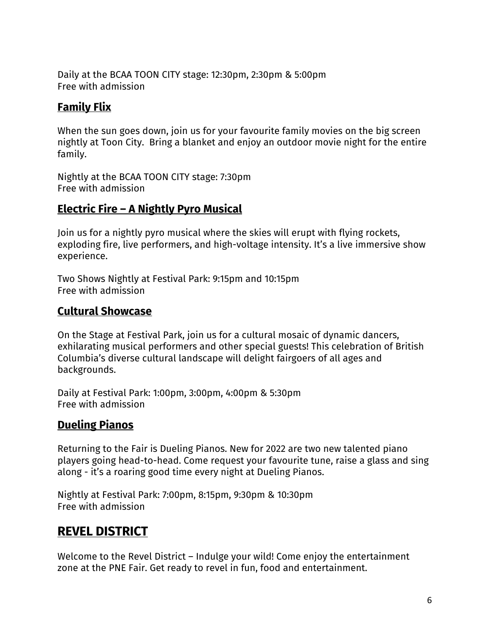Daily at the BCAA TOON CITY stage: 12:30pm, 2:30pm & 5:00pm Free with admission

## **Family Flix**

When the sun goes down, join us for your favourite family movies on the big screen nightly at Toon City. Bring a blanket and enjoy an outdoor movie night for the entire family.

Nightly at the BCAA TOON CITY stage: 7:30pm Free with admission

## **Electric Fire – A Nightly Pyro Musical**

Join us for a nightly pyro musical where the skies will erupt with flying rockets, exploding fire, live performers, and high-voltage intensity. It's a live immersive show experience.

Two Shows Nightly at Festival Park: 9:15pm and 10:15pm Free with admission

## **Cultural Showcase**

On the Stage at Festival Park, join us for a cultural mosaic of dynamic dancers, exhilarating musical performers and other special guests! This celebration of British Columbia's diverse cultural landscape will delight fairgoers of all ages and backgrounds.

Daily at Festival Park: 1:00pm, 3:00pm, 4:00pm & 5:30pm Free with admission

#### **Dueling Pianos**

Returning to the Fair is Dueling Pianos. New for 2022 are two new talented piano players going head-to-head. Come request your favourite tune, raise a glass and sing along - it's a roaring good time every night at Dueling Pianos.

Nightly at Festival Park: 7:00pm, 8:15pm, 9:30pm & 10:30pm Free with admission

## **REVEL DISTRICT**

Welcome to the Revel District – Indulge your wild! Come enjoy the entertainment zone at the PNE Fair. Get ready to revel in fun, food and entertainment.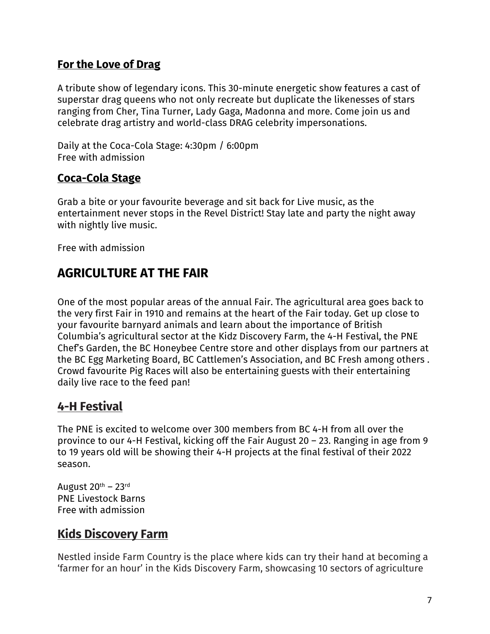### **For the Love of Drag**

A tribute show of legendary icons. This 30-minute energetic show features a cast of superstar drag queens who not only recreate but duplicate the likenesses of stars ranging from Cher, Tina Turner, Lady Gaga, Madonna and more. Come join us and celebrate drag artistry and world-class DRAG celebrity impersonations.

Daily at the Coca-Cola Stage: 4:30pm / 6:00pm Free with admission

## **Coca-Cola Stage**

Grab a bite or your favourite beverage and sit back for Live music, as the entertainment never stops in the Revel District! Stay late and party the night away with nightly live music.

Free with admission

## **AGRICULTURE AT THE FAIR**

One of the most popular areas of the annual Fair. The agricultural area goes back to the very first Fair in 1910 and remains at the heart of the Fair today. Get up close to your favourite barnyard animals and learn about the importance of British Columbia's agricultural sector at the Kidz Discovery Farm, the 4-H Festival, the PNE Chef's Garden, the BC Honeybee Centre store and other displays from our partners at the BC Egg Marketing Board, BC Cattlemen's Association, and BC Fresh among others . Crowd favourite Pig Races will also be entertaining guests with their entertaining daily live race to the feed pan!

## **4-H Festival**

The PNE is excited to welcome over 300 members from BC 4-H from all over the province to our 4-H Festival, kicking off the Fair August 20 – 23. Ranging in age from 9 to 19 years old will be showing their 4-H projects at the final festival of their 2022 season.

August  $20<sup>th</sup> - 23<sup>rd</sup>$ PNE Livestock Barns Free with admission

## **Kids Discovery Farm**

Nestled inside Farm Country is the place where kids can try their hand at becoming a 'farmer for an hour' in the Kids Discovery Farm, showcasing 10 sectors of agriculture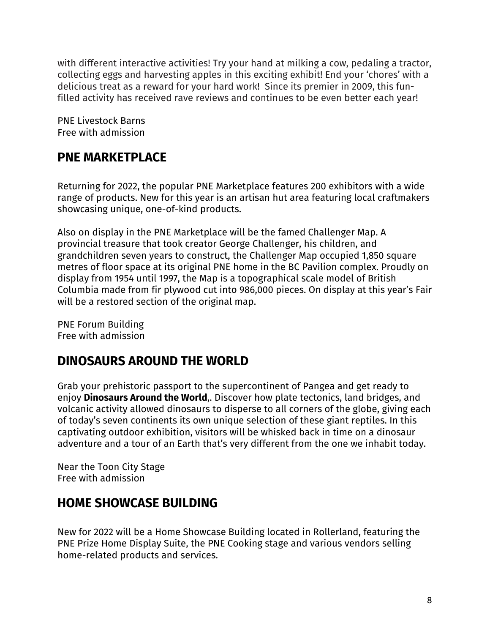with different interactive activities! Try your hand at milking a cow, pedaling a tractor, collecting eggs and harvesting apples in this exciting exhibit! End your 'chores' with a delicious treat as a reward for your hard work! Since its premier in 2009, this funfilled activity has received rave reviews and continues to be even better each year!

PNE Livestock Barns Free with admission

## **PNE MARKETPLACE**

Returning for 2022, the popular PNE Marketplace features 200 exhibitors with a wide range of products. New for this year is an artisan hut area featuring local craftmakers showcasing unique, one-of-kind products.

Also on display in the PNE Marketplace will be the famed Challenger Map. A provincial treasure that took creator George Challenger, his children, and grandchildren seven years to construct, the Challenger Map occupied 1,850 square metres of floor space at its original PNE home in the BC Pavilion complex. Proudly on display from 1954 until 1997, the Map is a topographical scale model of British Columbia made from fir plywood cut into 986,000 pieces. On display at this year's Fair will be a restored section of the original map.

PNE Forum Building Free with admission

## **DINOSAURS AROUND THE WORLD**

Grab your prehistoric passport to the supercontinent of Pangea and get ready to enjoy **Dinosaurs Around the World**,. Discover how plate tectonics, land bridges, and volcanic activity allowed dinosaurs to disperse to all corners of the globe, giving each of today's seven continents its own unique selection of these giant reptiles. In this captivating outdoor exhibition, visitors will be whisked back in time on a dinosaur adventure and a tour of an Earth that's very different from the one we inhabit today.

Near the Toon City Stage Free with admission

## **HOME SHOWCASE BUILDING**

New for 2022 will be a Home Showcase Building located in Rollerland, featuring the PNE Prize Home Display Suite, the PNE Cooking stage and various vendors selling home-related products and services.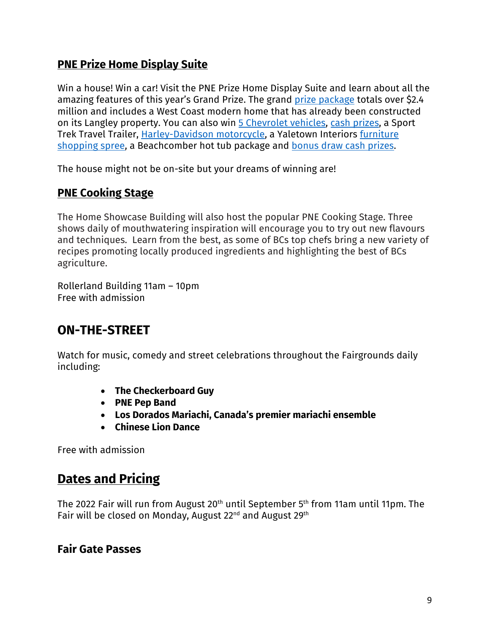## **PNE Prize Home Display Suite**

Win a house! Win a car! Visit the PNE Prize Home Display Suite and learn about all the amazing features of this year's Grand Prize. The grand prize package totals over \$2.4 million and includes a West Coast modern home that has already been constructed on its Langley property. You can also win 5 Chevrolet vehicles, cash prizes, a Sport Trek Travel Trailer, Harley-Davidson motorcycle, a Yaletown Interiors furniture shopping spree, a Beachcomber hot tub package and bonus draw cash prizes.

The house might not be on-site but your dreams of winning are!

## **PNE Cooking Stage**

The Home Showcase Building will also host the popular PNE Cooking Stage. Three shows daily of mouthwatering inspiration will encourage you to try out new flavours and techniques. Learn from the best, as some of BCs top chefs bring a new variety of recipes promoting locally produced ingredients and highlighting the best of BCs agriculture.

Rollerland Building 11am – 10pm Free with admission

## **ON-THE-STREET**

Watch for music, comedy and street celebrations throughout the Fairgrounds daily including:

- **The Checkerboard Guy**
- **PNE Pep Band**
- **Los Dorados Mariachi, Canada's premier mariachi ensemble**
- **Chinese Lion Dance**

Free with admission

# **Dates and Pricing**

The 2022 Fair will run from August 20th until September 5th from 11am until 11pm. The Fair will be closed on Monday, August 22nd and August 29th

## **Fair Gate Passes**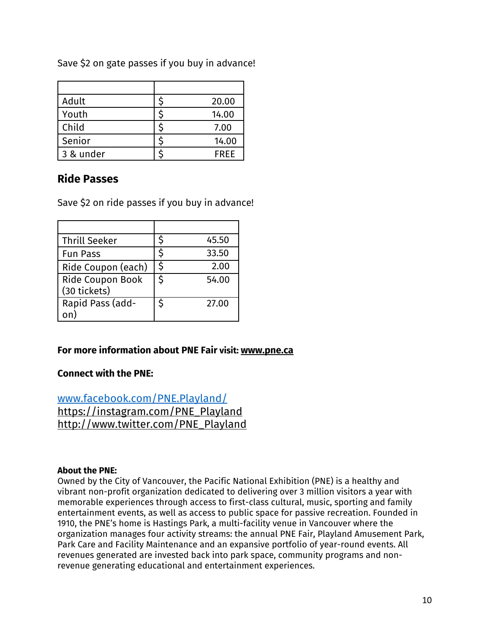| Adult     | 20.00       |
|-----------|-------------|
| Youth     | 14.00       |
| Child     | 7.00        |
| Senior    | 14.00       |
| 3 & under | <b>FRFF</b> |

Save \$2 on gate passes if you buy in advance!

## **Ride Passes**

Save \$2 on ride passes if you buy in advance!

| <b>Thrill Seeker</b>             | Ś  | 45.50 |
|----------------------------------|----|-------|
| <b>Fun Pass</b>                  | S  | 33.50 |
| Ride Coupon (each)               | Ś. | 2.00  |
| Ride Coupon Book<br>(30 tickets) | \$ | 54.00 |
| Rapid Pass (add-                 | \$ | 27.00 |

#### **For more information about PNE Fair visit: www.pne.ca**

#### **Connect with the PNE:**

www.facebook.com/PNE.Playland/ https://instagram.com/PNE\_Playland http://www.twitter.com/PNE\_Playland

#### **About the PNE:**

Owned by the City of Vancouver, the Pacific National Exhibition (PNE) is a healthy and vibrant non-profit organization dedicated to delivering over 3 million visitors a year with memorable experiences through access to first-class cultural, music, sporting and family entertainment events, as well as access to public space for passive recreation. Founded in 1910, the PNE's home is Hastings Park, a multi-facility venue in Vancouver where the organization manages four activity streams: the annual PNE Fair, Playland Amusement Park, Park Care and Facility Maintenance and an expansive portfolio of year-round events. All revenues generated are invested back into park space, community programs and nonrevenue generating educational and entertainment experiences.